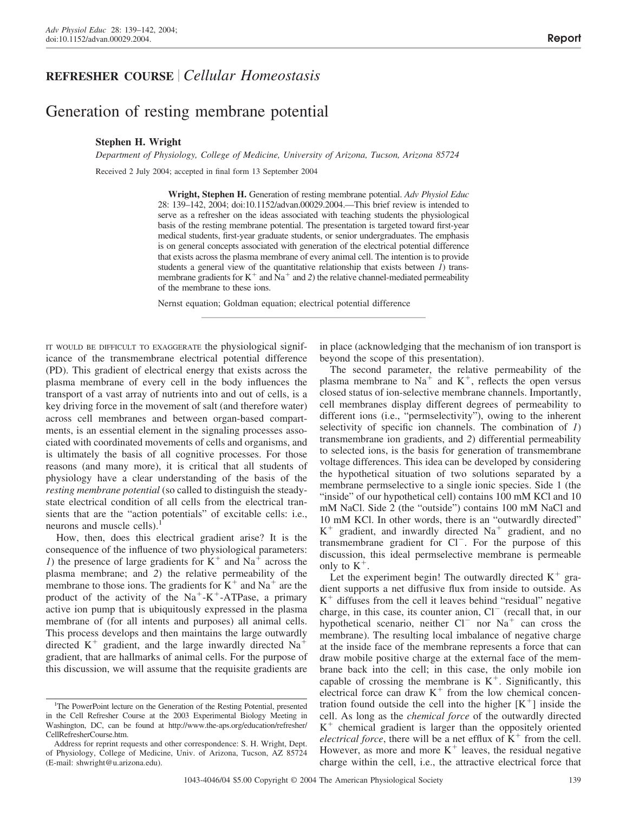# **REFRESHER COURSE** *Cellular Homeostasis*

# Generation of resting membrane potential

# **Stephen H. Wright**

*Department of Physiology, College of Medicine, University of Arizona, Tucson, Arizona 85724* Received 2 July 2004; accepted in final form 13 September 2004

> **Wright, Stephen H.** Generation of resting membrane potential. *Adv Physiol Educ* 28: 139–142, 2004; doi:10.1152/advan.00029.2004.—This brief review is intended to serve as a refresher on the ideas associated with teaching students the physiological basis of the resting membrane potential. The presentation is targeted toward first-year medical students, first-year graduate students, or senior undergraduates. The emphasis is on general concepts associated with generation of the electrical potential difference that exists across the plasma membrane of every animal cell. The intention is to provide students a general view of the quantitative relationship that exists between *1*) transmembrane gradients for  $K^+$  and  $Na^+$  and 2) the relative channel-mediated permeability of the membrane to these ions.

Nernst equation; Goldman equation; electrical potential difference

IT WOULD BE DIFFICULT TO EXAGGERATE the physiological significance of the transmembrane electrical potential difference (PD). This gradient of electrical energy that exists across the plasma membrane of every cell in the body influences the transport of a vast array of nutrients into and out of cells, is a key driving force in the movement of salt (and therefore water) across cell membranes and between organ-based compartments, is an essential element in the signaling processes associated with coordinated movements of cells and organisms, and is ultimately the basis of all cognitive processes. For those reasons (and many more), it is critical that all students of physiology have a clear understanding of the basis of the *resting membrane potential* (so called to distinguish the steadystate electrical condition of all cells from the electrical transients that are the "action potentials" of excitable cells: i.e., neurons and muscle cells). $<sup>1</sup>$ </sup>

How, then, does this electrical gradient arise? It is the consequence of the influence of two physiological parameters: *1*) the presence of large gradients for  $K^+$  and  $Na^+$  across the plasma membrane; and *2*) the relative permeability of the membrane to those ions. The gradients for  $K^+$  and  $Na^+$  are the product of the activity of the  $Na^+ - K^+$ -ATPase, a primary active ion pump that is ubiquitously expressed in the plasma membrane of (for all intents and purposes) all animal cells. This process develops and then maintains the large outwardly directed  $K^+$  gradient, and the large inwardly directed Na<sup>+</sup> gradient, that are hallmarks of animal cells. For the purpose of this discussion, we will assume that the requisite gradients are in place (acknowledging that the mechanism of ion transport is beyond the scope of this presentation).

The second parameter, the relative permeability of the plasma membrane to  $Na<sup>+</sup>$  and  $K<sup>+</sup>$ , reflects the open versus closed status of ion-selective membrane channels. Importantly, cell membranes display different degrees of permeability to different ions (i.e., "permselectivity"), owing to the inherent selectivity of specific ion channels. The combination of *1*) transmembrane ion gradients, and *2*) differential permeability to selected ions, is the basis for generation of transmembrane voltage differences. This idea can be developed by considering the hypothetical situation of two solutions separated by a membrane permselective to a single ionic species. Side 1 (the "inside" of our hypothetical cell) contains 100 mM KCl and 10 mM NaCl. Side 2 (the "outside") contains 100 mM NaCl and 10 mM KCl. In other words, there is an "outwardly directed"  $K^+$  gradient, and inwardly directed Na<sup>+</sup> gradient, and no transmembrane gradient for Cl<sup>-</sup>. For the purpose of this discussion, this ideal permselective membrane is permeable only to  $K^+$ .

Let the experiment begin! The outwardly directed  $K^+$  gradient supports a net diffusive flux from inside to outside. As  $K<sup>+</sup>$  diffuses from the cell it leaves behind "residual" negative charge, in this case, its counter anion,  $Cl^-$  (recall that, in our hypothetical scenario, neither  $Cl^-$  nor  $Na^+$  can cross the membrane). The resulting local imbalance of negative charge at the inside face of the membrane represents a force that can draw mobile positive charge at the external face of the membrane back into the cell; in this case, the only mobile ion capable of crossing the membrane is  $K^+$ . Significantly, this electrical force can draw  $K^+$  from the low chemical concentration found outside the cell into the higher  $[K^+]$  inside the cell. As long as the *chemical force* of the outwardly directed  $K<sup>+</sup>$  chemical gradient is larger than the oppositely oriented *electrical force*, there will be a net efflux of  $K^+$  from the cell. However, as more and more  $K^+$  leaves, the residual negative charge within the cell, i.e., the attractive electrical force that

<sup>&</sup>lt;sup>1</sup>The PowerPoint lecture on the Generation of the Resting Potential, presented in the Cell Refresher Course at the 2003 Experimental Biology Meeting in Washington, DC, can be found at http://www.the-aps.org/education/refresher/ CellRefresherCourse.htm.

Address for reprint requests and other correspondence: S. H. Wright, Dept. of Physiology, College of Medicine, Univ. of Arizona, Tucson, AZ 85724 (E-mail: shwright@u.arizona.edu).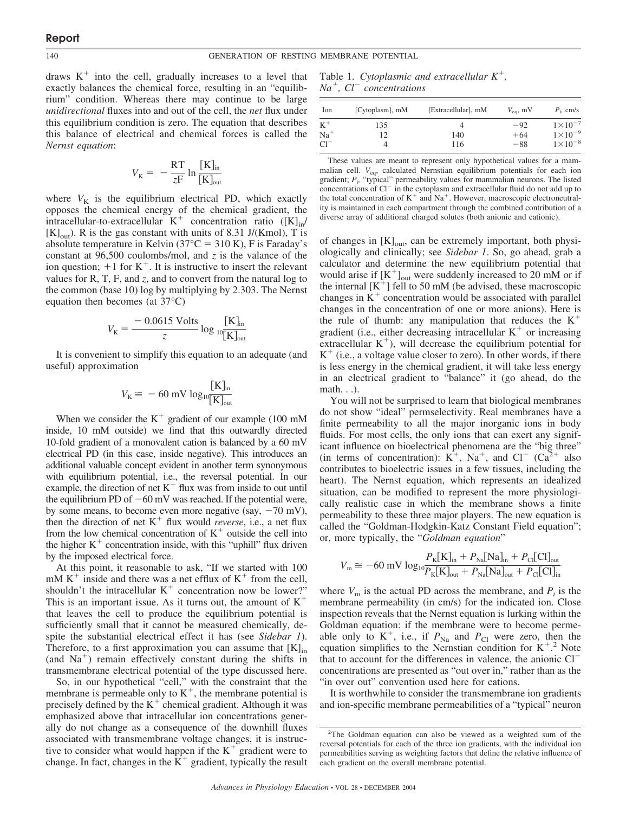draws  $K^+$  into the cell, gradually increases to a level that exactly balances the chemical force, resulting in an "equilibrium" condition. Whereas there may continue to be large *unidirectional* fluxes into and out of the cell, the *net* flux under this equilibrium condition is zero. The equation that describes this balance of electrical and chemical forces is called the *Nernst equation*:

$$
V_{\rm K} = -\frac{\rm RT}{zF} \ln \frac{[{\rm K}]_{\rm in}}{[{\rm K}]_{\rm out}}
$$

where  $V_K$  is the equilibrium electrical PD, which exactly opposes the chemical energy of the chemical gradient, the intracellular-to-extracellular  $K^+$  concentration ratio  $([K]_{in}/$  $[K]_{\text{out}}$ ). R is the gas constant with units of 8.31 J/(Kmol), T is absolute temperature in Kelvin (37 $^{\circ}$ C = 310 K), F is Faraday's constant at 96,500 coulombs/mol, and *z* is the valance of the ion question;  $+1$  for K<sup>+</sup>. It is instructive to insert the relevant values for R, T, F, and *z*, and to convert from the natural log to the common (base 10) log by multiplying by 2.303. The Nernst equation then becomes (at 37°C)

$$
V_{\rm K} = \frac{-0.0615 \text{ Volts}}{z} \log \frac{[\text{K}]_{\text{in}}}{\text{K}]_{\text{out}}}
$$

It is convenient to simplify this equation to an adequate (and useful) approximation

$$
V_{\rm K} \cong -60~{\rm mV}~{\rm log}_{10} \frac{[{\rm K}]_{\rm in}}{[{\rm K}]_{\rm out}}
$$

When we consider the  $K^+$  gradient of our example (100 mM inside, 10 mM outside) we find that this outwardly directed 10-fold gradient of a monovalent cation is balanced by a 60 mV electrical PD (in this case, inside negative). This introduces an additional valuable concept evident in another term synonymous with equilibrium potential, i.e., the reversal potential. In our example, the direction of net  $K^+$  flux was from inside to out until the equilibrium PD of  $-60$  mV was reached. If the potential were, by some means, to become even more negative (say,  $-70$  mV), then the direction of net  $K^+$  flux would *reverse*, i.e., a net flux from the low chemical concentration of  $K<sup>+</sup>$  outside the cell into the higher  $K<sup>+</sup>$  concentration inside, with this "uphill" flux driven by the imposed electrical force.

At this point, it reasonable to ask, "If we started with 100 mM  $K^+$  inside and there was a net efflux of  $K^+$  from the cell, shouldn't the intracellular  $K^+$  concentration now be lower?" This is an important issue. As it turns out, the amount of  $K^+$ that leaves the cell to produce the equilibrium potential is sufficiently small that it cannot be measured chemically, despite the substantial electrical effect it has (see *Sidebar 1*). Therefore, to a first approximation you can assume that  $[K]_{in}$ (and  $Na<sup>+</sup>$ ) remain effectively constant during the shifts in transmembrane electrical potential of the type discussed here.

So, in our hypothetical "cell," with the constraint that the membrane is permeable only to  $K^+$ , the membrane potential is precisely defined by the  $K^+$  chemical gradient. Although it was emphasized above that intracellular ion concentrations generally do not change as a consequence of the downhill fluxes associated with transmembrane voltage changes, it is instructive to consider what would happen if the  $K^+$  gradient were to change. In fact, changes in the  $K^+$  gradient, typically the result

Table 1. *Cytoplasmic and extracellular K, Na, Cl*- *concentrations*

| Ion    | [Cytoplasm], mM | [Extracellular], mM | $V_{\text{eq}}$ , mV | $P_i$ , cm/s       |
|--------|-----------------|---------------------|----------------------|--------------------|
| $K^+$  | 135             |                     | $-92$                | $1 \times 10^{-7}$ |
| $Na+$  | 12              | 140                 | $+64$                | $1 \times 10^{-9}$ |
| $Cl^-$ |                 | 116                 | $-88$                | $1 \times 10^{-8}$ |

These values are meant to represent only hypothetical values for a mammalian cell. *V<sub>eq</sub>*, calculated Nernstian equilibrium potentials for each ion gradient;  $P_i$ , "typical" permeability values for mammalian neurons. The listed concentrations of  $Cl^-$  in the cytoplasm and extracellular fluid do not add up to the total concentration of  $K^+$  and  $Na^+$ . However, macroscopic electroneutrality is maintained in each compartment through the combined contribution of a diverse array of additional charged solutes (both anionic and cationic).

of changes in  $[K]_{out}$ , can be extremely important, both physiologically and clinically; see *Sidebar 1*. So, go ahead, grab a calculator and determine the new equilibrium potential that would arise if  $[K^+]_{out}$  were suddenly increased to 20 mM or if the internal  $[K^+]$  fell to 50 mM (be advised, these macroscopic changes in  $K<sup>+</sup>$  concentration would be associated with parallel changes in the concentration of one or more anions). Here is the rule of thumb: any manipulation that reduces the  $K^+$ gradient (i.e., either decreasing intracellular  $K^+$  or increasing extracellular  $K^+$ ), will decrease the equilibrium potential for  $K^+$  (i.e., a voltage value closer to zero). In other words, if there is less energy in the chemical gradient, it will take less energy in an electrical gradient to "balance" it (go ahead, do the math. . .).

You will not be surprised to learn that biological membranes do not show "ideal" permselectivity. Real membranes have a finite permeability to all the major inorganic ions in body fluids. For most cells, the only ions that can exert any significant influence on bioelectrical phenomena are the "big three" (in terms of concentration):  $K^+$ , Na<sup>+</sup>, and Cl<sup>-</sup> (Ca<sup>2+</sup> also contributes to bioelectric issues in a few tissues, including the heart). The Nernst equation, which represents an idealized situation, can be modified to represent the more physiologically realistic case in which the membrane shows a finite permeability to these three major players. The new equation is called the "Goldman-Hodgkin-Katz Constant Field equation"; or, more typically, the "*Goldman equation*"

$$
V_{\rm m} \cong -60 \text{ mV} \log_{10} \frac{P_{\rm K}[\text{K}]_{\rm in} + P_{\rm Na}[\text{Na}]_{\rm in} + P_{\rm Cl}[\text{Cl}]_{\rm out}}{P_{\rm K}[\text{K}]_{\rm out} + P_{\rm Na}[\text{Na}]_{\rm out} + P_{\rm Cl}[\text{Cl}]_{\rm in}}
$$

where  $V_m$  is the actual PD across the membrane, and  $P_i$  is the membrane permeability (in cm/s) for the indicated ion. Close inspection reveals that the Nernst equation is lurking within the Goldman equation: if the membrane were to become permeable only to  $K^+$ , i.e., if  $P_{\text{Na}}$  and  $P_{\text{Cl}}$  were zero, then the equation simplifies to the Nernstian condition for  $K^+$ .<sup>2</sup> Note that to account for the differences in valence, the anionic  $Cl^$ concentrations are presented as "out over in," rather than as the "in over out" convention used here for cations.

It is worthwhile to consider the transmembrane ion gradients and ion-specific membrane permeabilities of a "typical" neuron

<sup>&</sup>lt;sup>2</sup>The Goldman equation can also be viewed as a weighted sum of the reversal potentials for each of the three ion gradients, with the individual ion permeabilities serving as weighting factors that define the relative influence of each gradient on the overall membrane potential.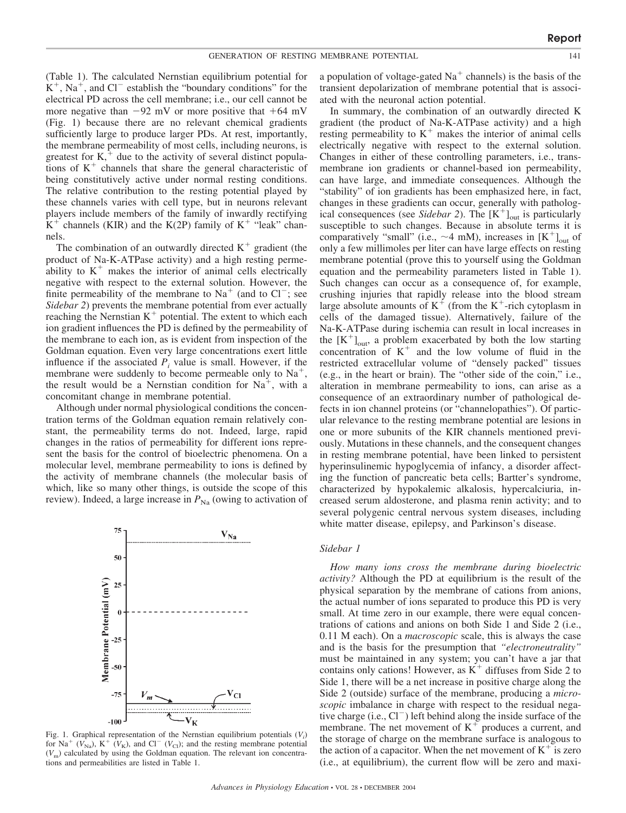(Table 1). The calculated Nernstian equilibrium potential for  $K^+$ , Na<sup>+</sup>, and Cl<sup>-</sup> establish the "boundary conditions" for the electrical PD across the cell membrane; i.e., our cell cannot be more negative than  $-92$  mV or more positive that  $+64$  mV (Fig. 1) because there are no relevant chemical gradients sufficiently large to produce larger PDs. At rest, importantly, the membrane permeability of most cells, including neurons, is greatest for  $K<sub>1</sub>$ <sup>+</sup> due to the activity of several distinct populations of  $K<sup>+</sup>$  channels that share the general characteristic of being constitutively active under normal resting conditions. The relative contribution to the resting potential played by these channels varies with cell type, but in neurons relevant players include members of the family of inwardly rectifying  $K^+$  channels (KIR) and the K(2P) family of  $K^+$  "leak" channels.

The combination of an outwardly directed  $K^+$  gradient (the product of Na-K-ATPase activity) and a high resting permeability to  $K^+$  makes the interior of animal cells electrically negative with respect to the external solution. However, the finite permeability of the membrane to  $Na<sup>+</sup>$  (and to  $Cl<sup>-</sup>$ ; see *Sidebar 2*) prevents the membrane potential from ever actually reaching the Nernstian  $K^+$  potential. The extent to which each ion gradient influences the PD is defined by the permeability of the membrane to each ion, as is evident from inspection of the Goldman equation. Even very large concentrations exert little influence if the associated  $P_i$  value is small. However, if the membrane were suddenly to become permeable only to  $Na<sup>+</sup>$ , the result would be a Nernstian condition for  $Na<sup>+</sup>$ , with a concomitant change in membrane potential.

Although under normal physiological conditions the concentration terms of the Goldman equation remain relatively constant, the permeability terms do not. Indeed, large, rapid changes in the ratios of permeability for different ions represent the basis for the control of bioelectric phenomena. On a molecular level, membrane permeability to ions is defined by the activity of membrane channels (the molecular basis of which, like so many other things, is outside the scope of this review). Indeed, a large increase in  $P_{\text{Na}}$  (owing to activation of



Fig. 1. Graphical representation of the Nernstian equilibrium potentials (*Vi* ) for Na<sup>+</sup> ( $V_{\text{Na}}$ ), K<sup>+</sup> ( $V_{\text{K}}$ ), and Cl<sup>-</sup> ( $V_{\text{Cl}}$ ); and the resting membrane potential  $(V<sub>m</sub>)$  calculated by using the Goldman equation. The relevant ion concentrations and permeabilities are listed in Table 1.

a population of voltage-gated  $Na<sup>+</sup>$  channels) is the basis of the transient depolarization of membrane potential that is associated with the neuronal action potential.

In summary, the combination of an outwardly directed K gradient (the product of Na-K-ATPase activity) and a high resting permeability to  $K<sup>+</sup>$  makes the interior of animal cells electrically negative with respect to the external solution. Changes in either of these controlling parameters, i.e., transmembrane ion gradients or channel-based ion permeability, can have large, and immediate consequences. Although the "stability" of ion gradients has been emphasized here, in fact, changes in these gradients can occur, generally with pathological consequences (see *Sidebar 2*). The  $[K^+]_{out}$  is particularly susceptible to such changes. Because in absolute terms it is comparatively "small" (i.e.,  $\sim$ 4 mM), increases in  $[K^+]_{out}$  of only a few millimoles per liter can have large effects on resting membrane potential (prove this to yourself using the Goldman equation and the permeability parameters listed in Table 1). Such changes can occur as a consequence of, for example, crushing injuries that rapidly release into the blood stream large absolute amounts of  $K^+$  (from the  $K^+$ -rich cytoplasm in cells of the damaged tissue). Alternatively, failure of the Na-K-ATPase during ischemia can result in local increases in the  $[K^+]_{out}$ , a problem exacerbated by both the low starting concentration of  $K^+$  and the low volume of fluid in the restricted extracellular volume of "densely packed" tissues (e.g., in the heart or brain). The "other side of the coin," i.e., alteration in membrane permeability to ions, can arise as a consequence of an extraordinary number of pathological defects in ion channel proteins (or "channelopathies"). Of particular relevance to the resting membrane potential are lesions in one or more subunits of the KIR channels mentioned previously. Mutations in these channels, and the consequent changes in resting membrane potential, have been linked to persistent hyperinsulinemic hypoglycemia of infancy, a disorder affecting the function of pancreatic beta cells; Bartter's syndrome, characterized by hypokalemic alkalosis, hypercalciuria, increased serum aldosterone, and plasma renin activity; and to several polygenic central nervous system diseases, including white matter disease, epilepsy, and Parkinson's disease.

### *Sidebar 1*

*How many ions cross the membrane during bioelectric activity?* Although the PD at equilibrium is the result of the physical separation by the membrane of cations from anions, the actual number of ions separated to produce this PD is very small. At time zero in our example, there were equal concentrations of cations and anions on both Side 1 and Side 2 (i.e., 0.11 M each). On a *macroscopic* scale, this is always the case and is the basis for the presumption that *"electroneutrality"* must be maintained in any system; you can't have a jar that contains only cations! However, as  $K^+$  diffuses from Side 2 to Side 1, there will be a net increase in positive charge along the Side 2 (outside) surface of the membrane, producing a *microscopic* imbalance in charge with respect to the residual negative charge (i.e.,  $Cl^-$ ) left behind along the inside surface of the membrane. The net movement of  $K^+$  produces a current, and the storage of charge on the membrane surface is analogous to the action of a capacitor. When the net movement of  $K^+$  is zero (i.e., at equilibrium), the current flow will be zero and maxi-